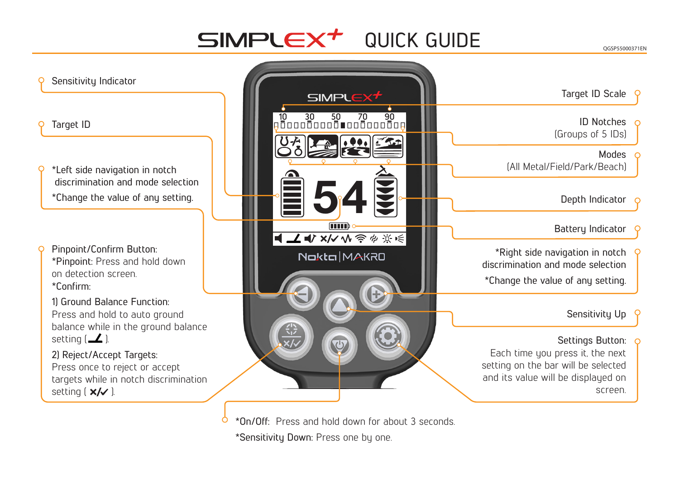# $\mathsf{SIMPLE}^+$  QUICK GUIDE

### Sensitivity Indicator

#### Target ID

- \*Left side navigation in notch discrimination and mode selection \*Change the value of any setting.
- Pinpoint/Confirm Button: \*Pinpoint: Press and hold down on detection screen. \*Confirm:
- 1) Ground Balance Function: Press and hold to auto ground balance while in the ground balance setting  $($   $\angle$  ).
- 2) Reject/Accept Targets: Press once to reject or accept targets while in notch discrimination setting  $(x/\sqrt{)}$ .



\*On/Off: Press and hold down for about 3 seconds. \*Sensitivity Down: Press one by one.